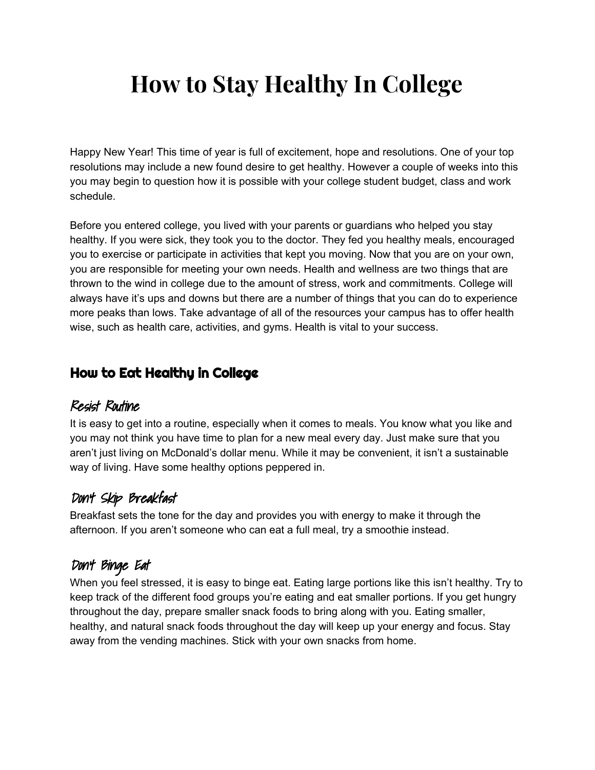# **How to Stay Healthy In College**

Happy New Year! This time of year is full of excitement, hope and resolutions. One of your top resolutions may include a new found desire to get healthy. However a couple of weeks into this you may begin to question how it is possible with your college student budget, class and work schedule.

Before you entered college, you lived with your parents or guardians who helped you stay healthy. If you were sick, they took you to the doctor. They fed you healthy meals, encouraged you to exercise or participate in activities that kept you moving. Now that you are on your own, you are responsible for meeting your own needs. Health and wellness are two things that are thrown to the wind in college due to the amount of stress, work and commitments. College will always have it's ups and downs but there are a number of things that you can do to experience more peaks than lows. Take advantage of all of the resources your campus has to offer health wise, such as health care, activities, and gyms. Health is vital to your success.

# How to Eat Healthy in College

## Resist Routine

It is easy to get into a routine, especially when it comes to meals. You know what you like and you may not think you have time to plan for a new meal every day. Just make sure that you aren't just living on McDonald's dollar menu. While it may be convenient, it isn't a sustainable way of living. Have some healthy options peppered in.

## Don't Skip Breakfast

Breakfast sets the tone for the day and provides you with energy to make it through the afternoon. If you aren't someone who can eat a full meal, try a smoothie instead.

# Don't Binge Eat

When you feel stressed, it is easy to binge eat. Eating large portions like this isn't healthy. Try to keep track of the different food groups you're eating and eat smaller portions. If you get hungry throughout the day, prepare smaller snack foods to bring along with you. Eating smaller, healthy, and natural snack foods throughout the day will keep up your energy and focus. Stay away from the vending machines. Stick with your own snacks from home.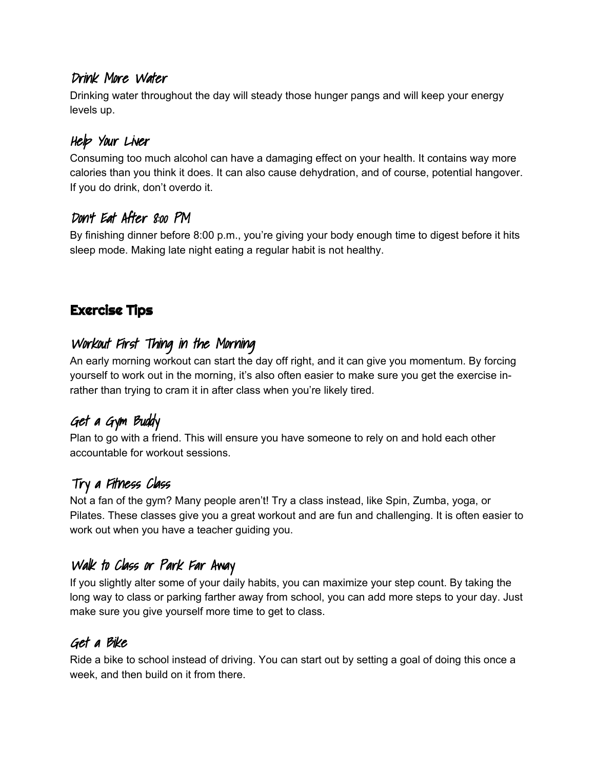#### Drink More Water

Drinking water throughout the day will steady those hunger pangs and will keep your energy levels up.

#### Help Your Live*r*

Consuming too much alcohol can have a damaging effect on your health. It contains way more calories than you think it does. It can also cause dehydration, and of course, potential hangover. If you do drink, don't overdo it.

## Don't Eat After 8:00 PM

By finishing dinner before 8:00 p.m., you're giving your body enough time to digest before it hits sleep mode. Making late night eating a regular habit is not healthy.

# Exercise Tips

# Workout First Thing in the Morning

An early morning workout can start the day off right, and it can give you momentum. By forcing yourself to work out in the morning, it's also often easier to make sure you get the exercise inrather than trying to cram it in after class when you're likely tired.

# Get <sup>a</sup> Gym Buddy

Plan to go with a friend. This will ensure you have someone to rely on and hold each other accountable for workout sessions.

# Try <sup>a</sup> Fitness Class

Not a fan of the gym? Many people aren't! Try a class instead, like Spin, Zumba, yoga, or Pilates. These classes give you a great workout and are fun and challenging. It is often easier to work out when you have a teacher guiding you.

# Walk to Class or Park Far Away

If you slightly alter some of your daily habits, you can maximize your step count. By taking the long way to class or parking farther away from school, you can add more steps to your day. Just make sure you give yourself more time to get to class.

#### Get <sup>a</sup> Bike

Ride a bike to school instead of driving. You can start out by setting a goal of doing this once a week, and then build on it from there.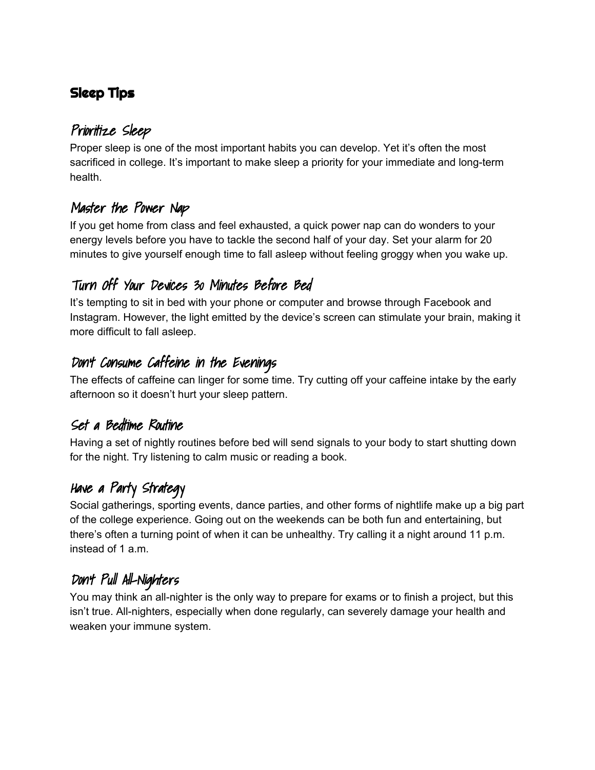# Sleep Tips

# Prioritize Sleep

Proper sleep is one of the most important habits you can develop. Yet it's often the most sacrificed in college. It's important to make sleep a priority for your immediate and long-term health.

# Master the Power Nap

If you get home from class and feel exhausted, a quick power nap can do wonders to your energy levels before you have to tackle the second half of your day. Set your alarm for 20 minutes to give yourself enough time to fall asleep without feeling groggy when you wake up.

# Turn Off Your Devices 30 Minutes Before Bed

It's tempting to sit in bed with your phone or computer and browse through Facebook and Instagram. However, the light emitted by the device's screen can stimulate your brain, making it more difficult to fall asleep.

## Don't Consume Caffeine in the Evenings

The effects of caffeine can linger for some time. Try cutting off your caffeine intake by the early afternoon so it doesn't hurt your sleep pattern.

#### Set <sup>a</sup> Bedtime Routine

Having a set of nightly routines before bed will send signals to your body to start shutting down for the night. Try listening to calm music or reading a book.

# Have <sup>a</sup> Party Strategy

Social gatherings, sporting events, dance parties, and other forms of nightlife make up a big part of the college experience. Going out on the weekends can be both fun and entertaining, but there's often a turning point of when it can be unhealthy. Try calling it a night around 11 p.m. instead of 1 a.m.

# Don't Pul Al-Nighters

You may think an all-nighter is the only way to prepare for exams or to finish a project, but this isn't true. All-nighters, especially when done regularly, can severely damage your health and weaken your immune system.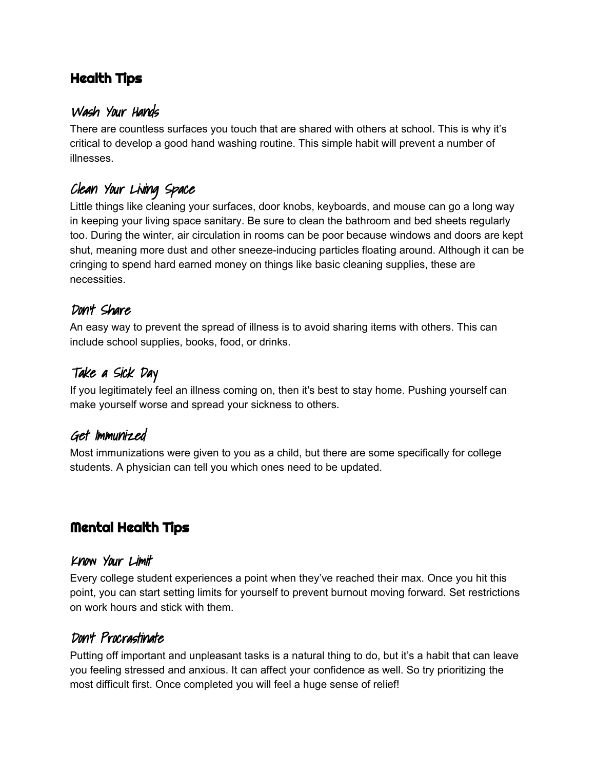# Health Tips

#### Wash Your Hands

There are countless surfaces you touch that are shared with others at school. This is why it's critical to develop a good hand washing routine. This simple habit will prevent a number of illnesses.

# Clean Your Living Space

Little things like cleaning your surfaces, door knobs, keyboards, and mouse can go a long way in keeping your living space sanitary. Be sure to clean the bathroom and bed sheets regularly too. During the winter, air circulation in rooms can be poor because windows and doors are kept shut, meaning more dust and other sneeze-inducing particles floating around. Although it can be cringing to spend hard earned money on things like basic cleaning supplies, these are necessities.

#### Don't Share

An easy way to prevent the spread of illness is to avoid sharing items with others. This can include school supplies, books, food, or drinks.

#### Take <sup>a</sup> Sick Day

If you legitimately feel an illness coming on, then it's best to stay home. Pushing yourself can make yourself worse and spread your sickness to others.

#### Get Immunized

Most immunizations were given to you as a child, but there are some specifically for college students. A physician can tell you which ones need to be updated.

## Mental Health Tips

#### Know Your Limit

Every college student experiences a point when they've reached their max. Once you hit this point, you can start setting limits for yourself to prevent burnout moving forward. Set restrictions on work hours and stick with them.

#### Don't Procrastinate

Putting off important and unpleasant tasks is a natural thing to do, but it's a habit that can leave you feeling stressed and anxious. It can affect your confidence as well. So try prioritizing the most difficult first. Once completed you will feel a huge sense of relief!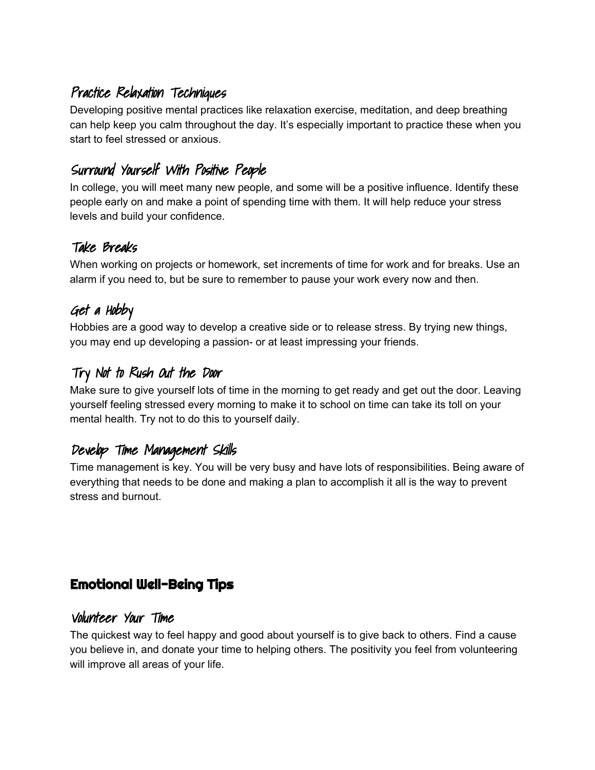# Practice Relaxation Techniques

Developing positive mental practices like relaxation exercise, meditation, and deep breathing can help keep you calm throughout the day. It's especially important to practice these when you start to feel stressed or anxious.

# Surround Yourself With Positive People

In college, you will meet many new people, and some will be a positive influence. Identify these people early on and make a point of spending time with them. It will help reduce your stress levels and build your confidence.

## Take Breaks

When working on projects or homework, set increments of time for work and for breaks. Use an alarm if you need to, but be sure to remember to pause your work every now and then.

# Get <sup>a</sup> Hobby

Hobbies are a good way to develop a creative side or to release stress. By trying new things, you may end up developing a passion- or at least impressing your friends.

# Try Not to Rush Out the Door

Make sure to give yourself lots of time in the morning to get ready and get out the door. Leaving yourself feeling stressed every morning to make it to school on time can take its toll on your mental health. Try not to do this to yourself daily.

# Develop Time Management Skils

Time management is key. You will be very busy and have lots of responsibilities. Being aware of everything that needs to be done and making a plan to accomplish it all is the way to prevent stress and burnout.

# Emotional Well-Being Tips

#### Volunteer Your Time

The quickest way to feel happy and good about yourself is to give back to others. Find a cause you believe in, and donate your time to helping others. The positivity you feel from volunteering will improve all areas of your life.